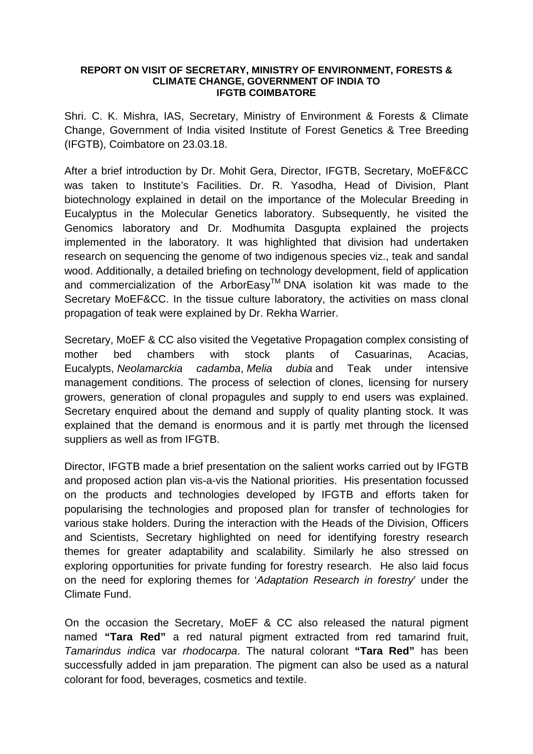## **REPORT ON VISIT OF SECRETARY, MINISTRY OF ENVIRONMENT, FORESTS & CLIMATE CHANGE, GOVERNMENT OF INDIA TO IFGTB COIMBATORE**

Shri. C. K. Mishra, IAS, Secretary, Ministry of Environment & Forests & Climate Change, Government of India visited Institute of Forest Genetics & Tree Breeding (IFGTB), Coimbatore on 23.03.18.

After a brief introduction by Dr. Mohit Gera, Director, IFGTB, Secretary, MoEF&CC was taken to Institute's Facilities. Dr. R. Yasodha, Head of Division, Plant biotechnology explained in detail on the importance of the Molecular Breeding in Eucalyptus in the Molecular Genetics laboratory. Subsequently, he visited the Genomics laboratory and Dr. Modhumita Dasgupta explained the projects implemented in the laboratory. It was highlighted that division had undertaken research on sequencing the genome of two indigenous species viz., teak and sandal wood. Additionally, a detailed briefing on technology development, field of application and commercialization of the ArborEasy<sup>™</sup> DNA isolation kit was made to the Secretary MoEF&CC. In the tissue culture laboratory, the activities on mass clonal propagation of teak were explained by Dr. Rekha Warrier.

Secretary, MoEF & CC also visited the Vegetative Propagation complex consisting of mother bed chambers with stock plants of Casuarinas, Acacias, Eucalypts, *Neolamarckia cadamba*, *Melia dubia* and Teak under intensive management conditions. The process of selection of clones, licensing for nursery growers, generation of clonal propagules and supply to end users was explained. Secretary enquired about the demand and supply of quality planting stock. It was explained that the demand is enormous and it is partly met through the licensed suppliers as well as from IFGTB.

Director, IFGTB made a brief presentation on the salient works carried out by IFGTB and proposed action plan vis-a-vis the National priorities. His presentation focussed on the products and technologies developed by IFGTB and efforts taken for popularising the technologies and proposed plan for transfer of technologies for various stake holders. During the interaction with the Heads of the Division, Officers and Scientists, Secretary highlighted on need for identifying forestry research themes for greater adaptability and scalability. Similarly he also stressed on exploring opportunities for private funding for forestry research. He also laid focus on the need for exploring themes for '*Adaptation Research in forestry*' under the Climate Fund.

On the occasion the Secretary, MoEF & CC also released the natural pigment named **"Tara Red"** a red natural pigment extracted from red tamarind fruit, *Tamarindus indica* var *rhodocarpa*. The natural colorant **"Tara Red"** has been successfully added in jam preparation. The pigment can also be used as a natural colorant for food, beverages, cosmetics and textile.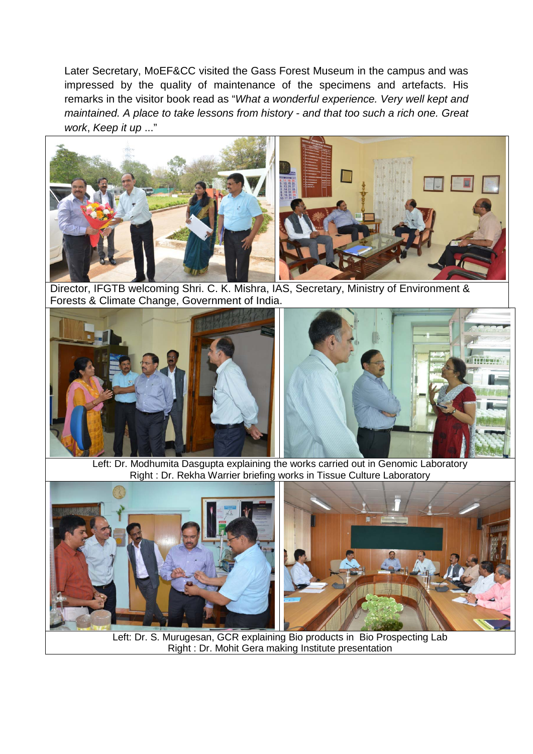Later Secretary, MoEF&CC visited the Gass Forest Museum in the campus and was impressed by the quality of maintenance of the specimens and artefacts. His remarks in the visitor book read as "*What a wonderful experience. Very well kept and maintained. A place to take lessons from history - and that too such a rich one. Great work*, *Keep it up* ..."



Director, IFGTB welcoming Shri. C. K. Mishra, IAS, Secretary, Ministry of Environment & Forests & Climate Change, Government of India.



Left: Dr. Modhumita Dasgupta explaining the works carried out in Genomic Laboratory Right : Dr. Rekha Warrier briefing works in Tissue Culture Laboratory



Left: Dr. S. Murugesan, GCR explaining Bio products in Bio Prospecting Lab Right : Dr. Mohit Gera making Institute presentation